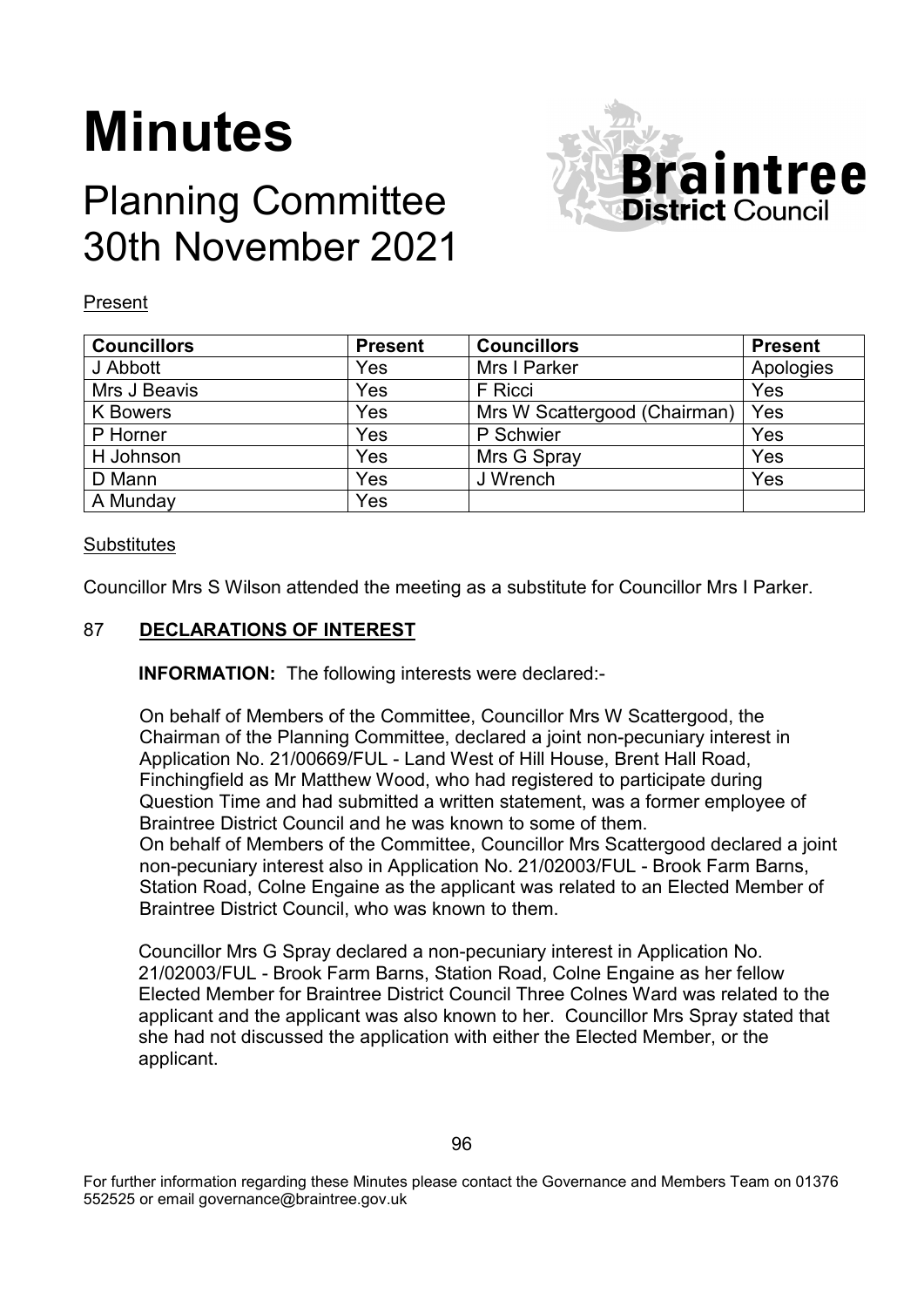# **Minutes**

# Planning Committee 30th November 2021



#### Present

| <b>Councillors</b> | <b>Present</b> | <b>Councillors</b>           | <b>Present</b> |
|--------------------|----------------|------------------------------|----------------|
| J Abbott           | Yes            | Mrs I Parker                 | Apologies      |
| Mrs J Beavis       | Yes            | F Ricci                      | Yes            |
| K Bowers           | Yes            | Mrs W Scattergood (Chairman) | Yes            |
| P Horner           | Yes            | P Schwier                    | Yes            |
| H Johnson          | Yes            | Mrs G Spray                  | Yes            |
| D Mann             | Yes            | J Wrench                     | Yes            |
| A Munday           | Yes            |                              |                |

#### **Substitutes**

Councillor Mrs S Wilson attended the meeting as a substitute for Councillor Mrs I Parker.

# 87 **DECLARATIONS OF INTEREST**

**INFORMATION:** The following interests were declared:-

On behalf of Members of the Committee, Councillor Mrs W Scattergood, the Chairman of the Planning Committee, declared a joint non-pecuniary interest in Application No. 21/00669/FUL - Land West of Hill House, Brent Hall Road, Finchingfield as Mr Matthew Wood, who had registered to participate during Question Time and had submitted a written statement, was a former employee of Braintree District Council and he was known to some of them. On behalf of Members of the Committee, Councillor Mrs Scattergood declared a joint non-pecuniary interest also in Application No. 21/02003/FUL - Brook Farm Barns, Station Road, Colne Engaine as the applicant was related to an Elected Member of Braintree District Council, who was known to them.

Councillor Mrs G Spray declared a non-pecuniary interest in Application No. 21/02003/FUL - Brook Farm Barns, Station Road, Colne Engaine as her fellow Elected Member for Braintree District Council Three Colnes Ward was related to the applicant and the applicant was also known to her. Councillor Mrs Spray stated that she had not discussed the application with either the Elected Member, or the applicant.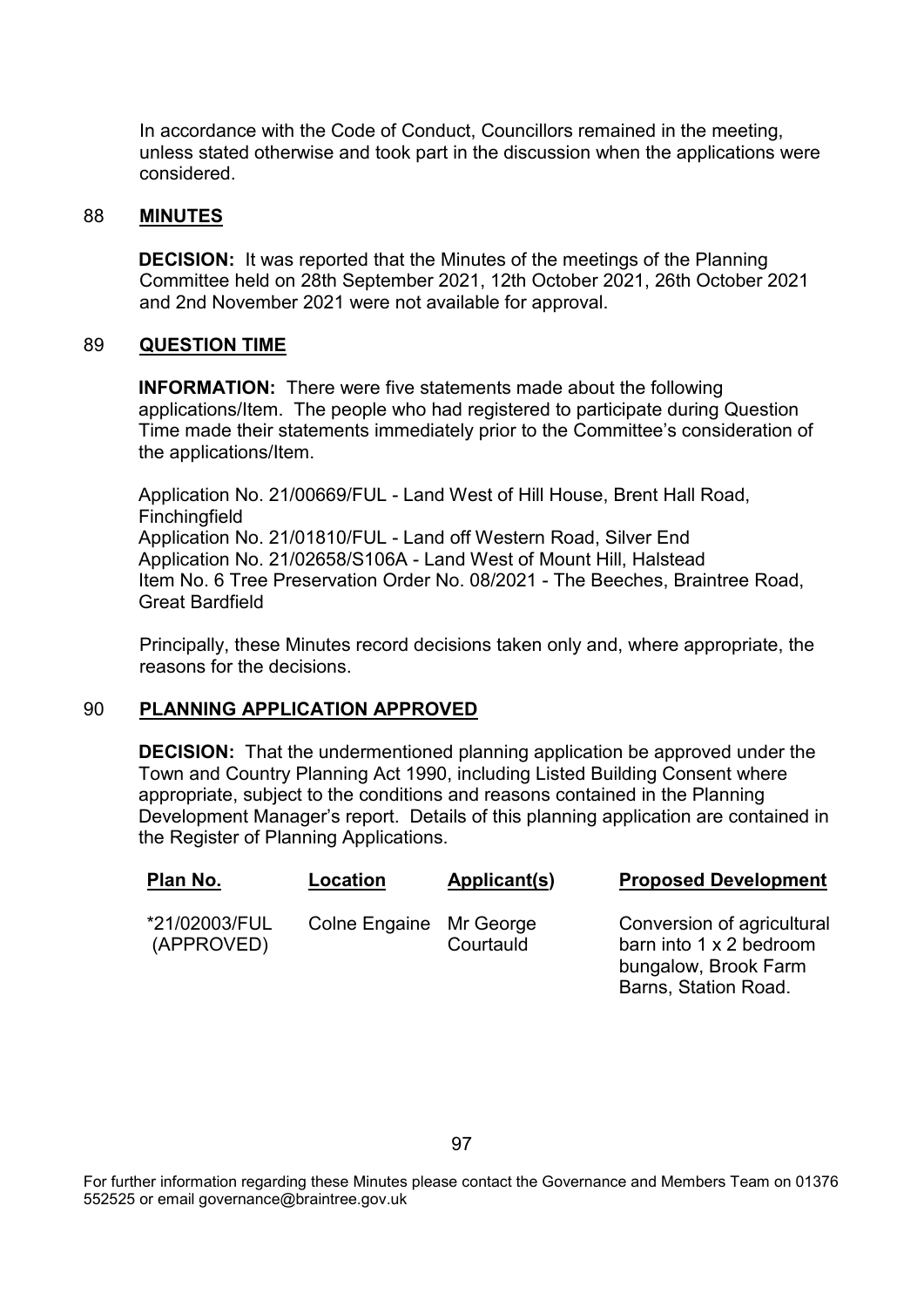In accordance with the Code of Conduct, Councillors remained in the meeting, unless stated otherwise and took part in the discussion when the applications were considered.

#### 88 **MINUTES**

**DECISION:** It was reported that the Minutes of the meetings of the Planning Committee held on 28th September 2021, 12th October 2021, 26th October 2021 and 2nd November 2021 were not available for approval.

# 89 **QUESTION TIME**

**INFORMATION:** There were five statements made about the following applications/Item. The people who had registered to participate during Question Time made their statements immediately prior to the Committee's consideration of the applications/Item.

Application No. 21/00669/FUL - Land West of Hill House, Brent Hall Road, **Finchingfield** Application No. 21/01810/FUL - Land off Western Road, Silver End Application No. 21/02658/S106A - Land West of Mount Hill, Halstead Item No. 6 Tree Preservation Order No. 08/2021 - The Beeches, Braintree Road, Great Bardfield

Principally, these Minutes record decisions taken only and, where appropriate, the reasons for the decisions.

# 90 **PLANNING APPLICATION APPROVED**

**DECISION:** That the undermentioned planning application be approved under the Town and Country Planning Act 1990, including Listed Building Consent where appropriate, subject to the conditions and reasons contained in the Planning Development Manager's report. Details of this planning application are contained in the Register of Planning Applications.

| Plan No.                    | Location                | Applicant(s) | <b>Proposed Development</b>                                                                           |
|-----------------------------|-------------------------|--------------|-------------------------------------------------------------------------------------------------------|
| *21/02003/FUL<br>(APPROVED) | Colne Engaine Mr George | Courtauld    | Conversion of agricultural<br>barn into 1 x 2 bedroom<br>bungalow, Brook Farm<br>Barns, Station Road. |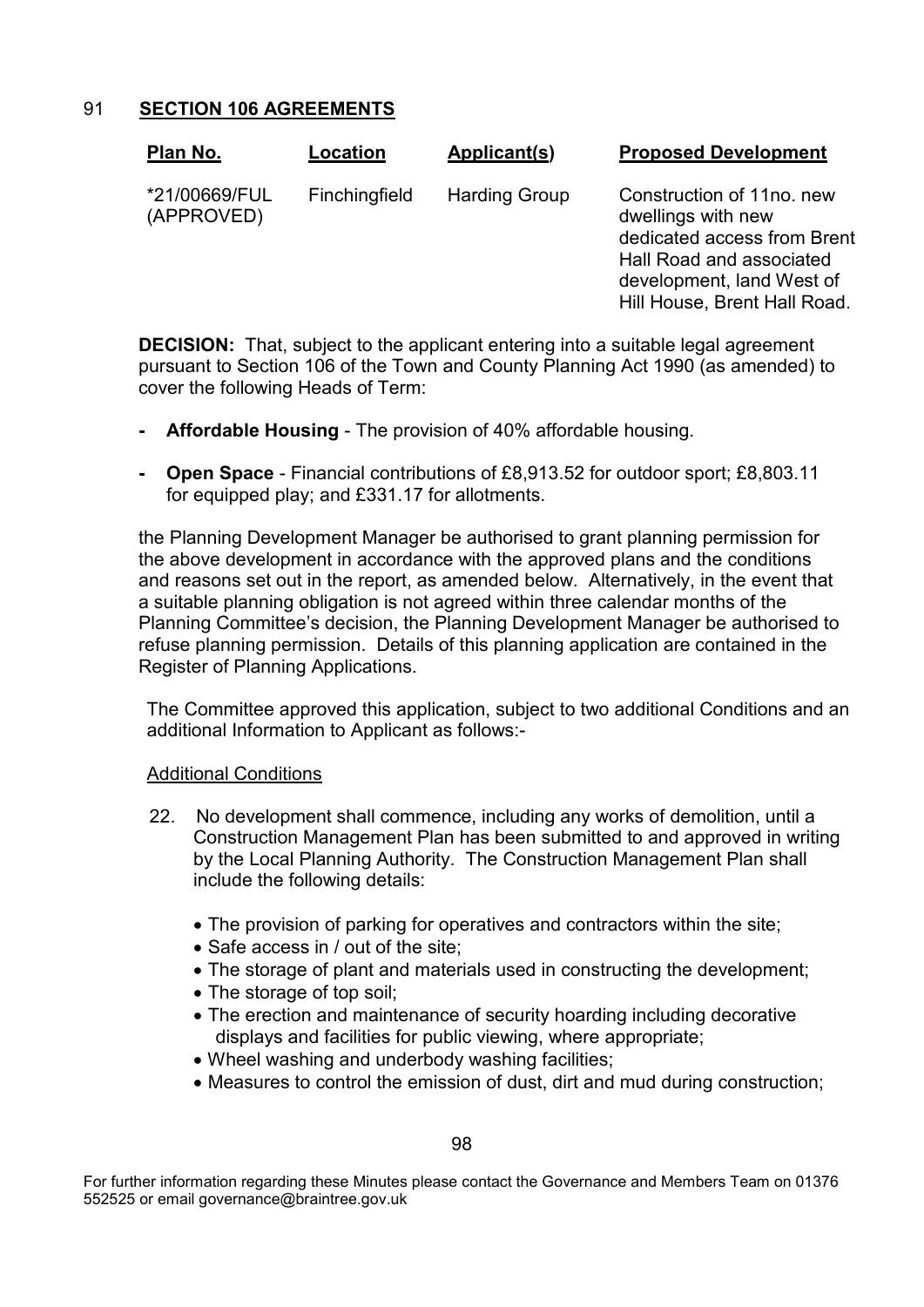91 **SECTION 106 AGREEMENTS**

| Plan No.                    | Location      | Applicant(s)         | <b>Proposed Development</b>                                                                                                                                             |
|-----------------------------|---------------|----------------------|-------------------------------------------------------------------------------------------------------------------------------------------------------------------------|
| *21/00669/FUL<br>(APPROVED) | Finchingfield | <b>Harding Group</b> | Construction of 11no, new<br>dwellings with new<br>dedicated access from Brent<br>Hall Road and associated<br>development, land West of<br>Hill House, Brent Hall Road. |

**DECISION:** That, subject to the applicant entering into a suitable legal agreement pursuant to Section 106 of the Town and County Planning Act 1990 (as amended) to cover the following Heads of Term:

- **- Affordable Housing** The provision of 40% affordable housing.
- **- Open Space** Financial contributions of £8,913.52 for outdoor sport; £8,803.11 for equipped play; and £331.17 for allotments.

the Planning Development Manager be authorised to grant planning permission for the above development in accordance with the approved plans and the conditions and reasons set out in the report, as amended below. Alternatively, in the event that a suitable planning obligation is not agreed within three calendar months of the Planning Committee's decision, the Planning Development Manager be authorised to refuse planning permission. Details of this planning application are contained in the Register of Planning Applications.

The Committee approved this application, subject to two additional Conditions and an additional Information to Applicant as follows:-

# Additional Conditions

- 22. No development shall commence, including any works of demolition, until a Construction Management Plan has been submitted to and approved in writing by the Local Planning Authority. The Construction Management Plan shall include the following details:
	- The provision of parking for operatives and contractors within the site;
	- Safe access in / out of the site;
	- The storage of plant and materials used in constructing the development;
	- The storage of top soil;
	- The erection and maintenance of security hoarding including decorative displays and facilities for public viewing, where appropriate;
	- Wheel washing and underbody washing facilities;
	- Measures to control the emission of dust, dirt and mud during construction;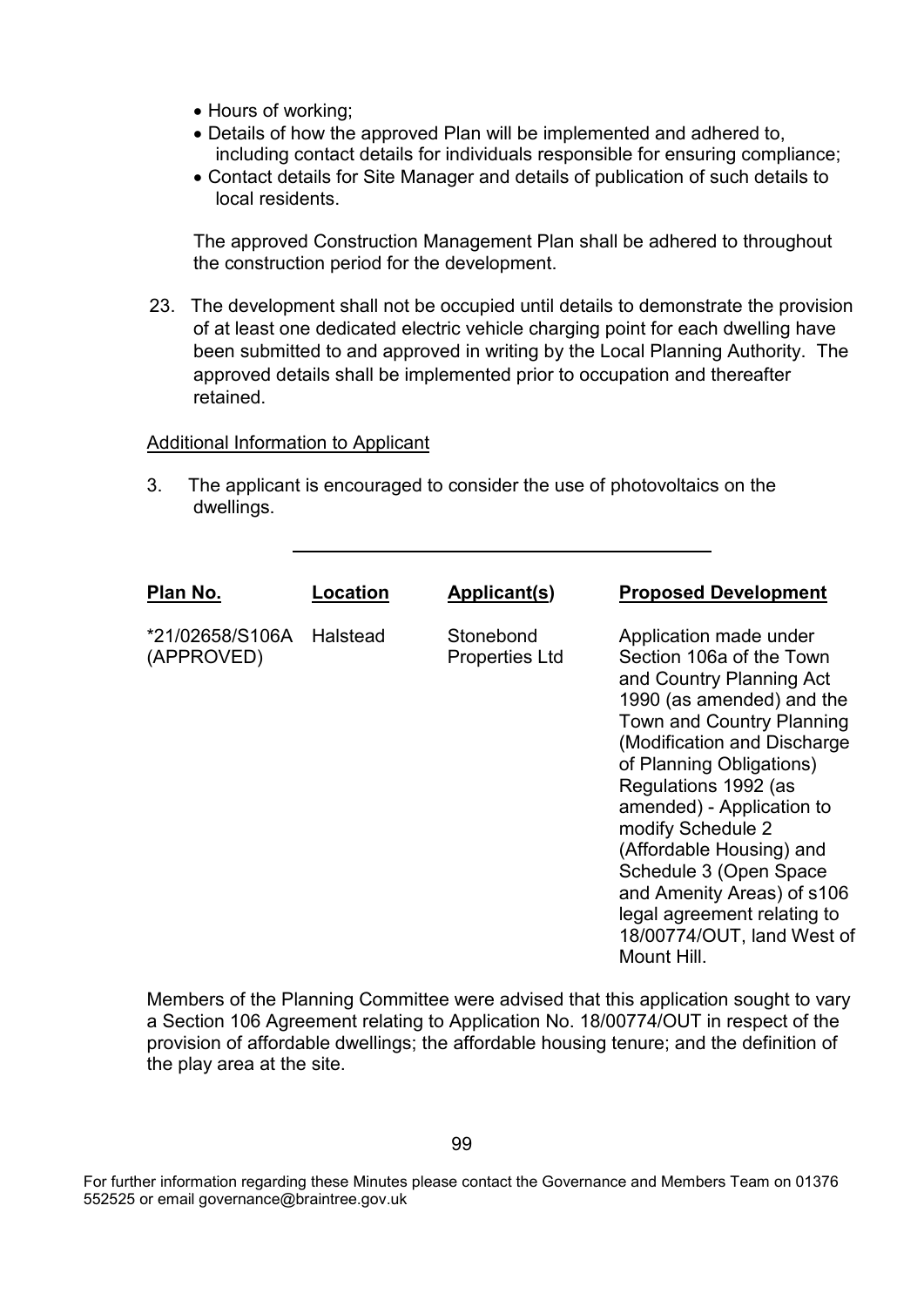- Hours of working;
- Details of how the approved Plan will be implemented and adhered to, including contact details for individuals responsible for ensuring compliance;
- Contact details for Site Manager and details of publication of such details to local residents.

The approved Construction Management Plan shall be adhered to throughout the construction period for the development.

23. The development shall not be occupied until details to demonstrate the provision of at least one dedicated electric vehicle charging point for each dwelling have been submitted to and approved in writing by the Local Planning Authority. The approved details shall be implemented prior to occupation and thereafter retained.

#### Additional Information to Applicant

3. The applicant is encouraged to consider the use of photovoltaics on the dwellings.

| Plan No.<br>Location<br>Applicant(s)                                            | <b>Proposed Development</b>                                                                                                                                                                                                                                                                                                                                                                                                                          |
|---------------------------------------------------------------------------------|------------------------------------------------------------------------------------------------------------------------------------------------------------------------------------------------------------------------------------------------------------------------------------------------------------------------------------------------------------------------------------------------------------------------------------------------------|
|                                                                                 |                                                                                                                                                                                                                                                                                                                                                                                                                                                      |
| *21/02658/S106A<br>Halstead<br>Stonebond<br>(APPROVED)<br><b>Properties Ltd</b> | Application made under<br>Section 106a of the Town<br>and Country Planning Act<br>1990 (as amended) and the<br><b>Town and Country Planning</b><br>(Modification and Discharge<br>of Planning Obligations)<br>Regulations 1992 (as<br>amended) - Application to<br>modify Schedule 2<br>(Affordable Housing) and<br>Schedule 3 (Open Space<br>and Amenity Areas) of s106<br>legal agreement relating to<br>18/00774/OUT, land West of<br>Mount Hill. |

Members of the Planning Committee were advised that this application sought to vary a Section 106 Agreement relating to Application No. 18/00774/OUT in respect of the provision of affordable dwellings; the affordable housing tenure; and the definition of the play area at the site.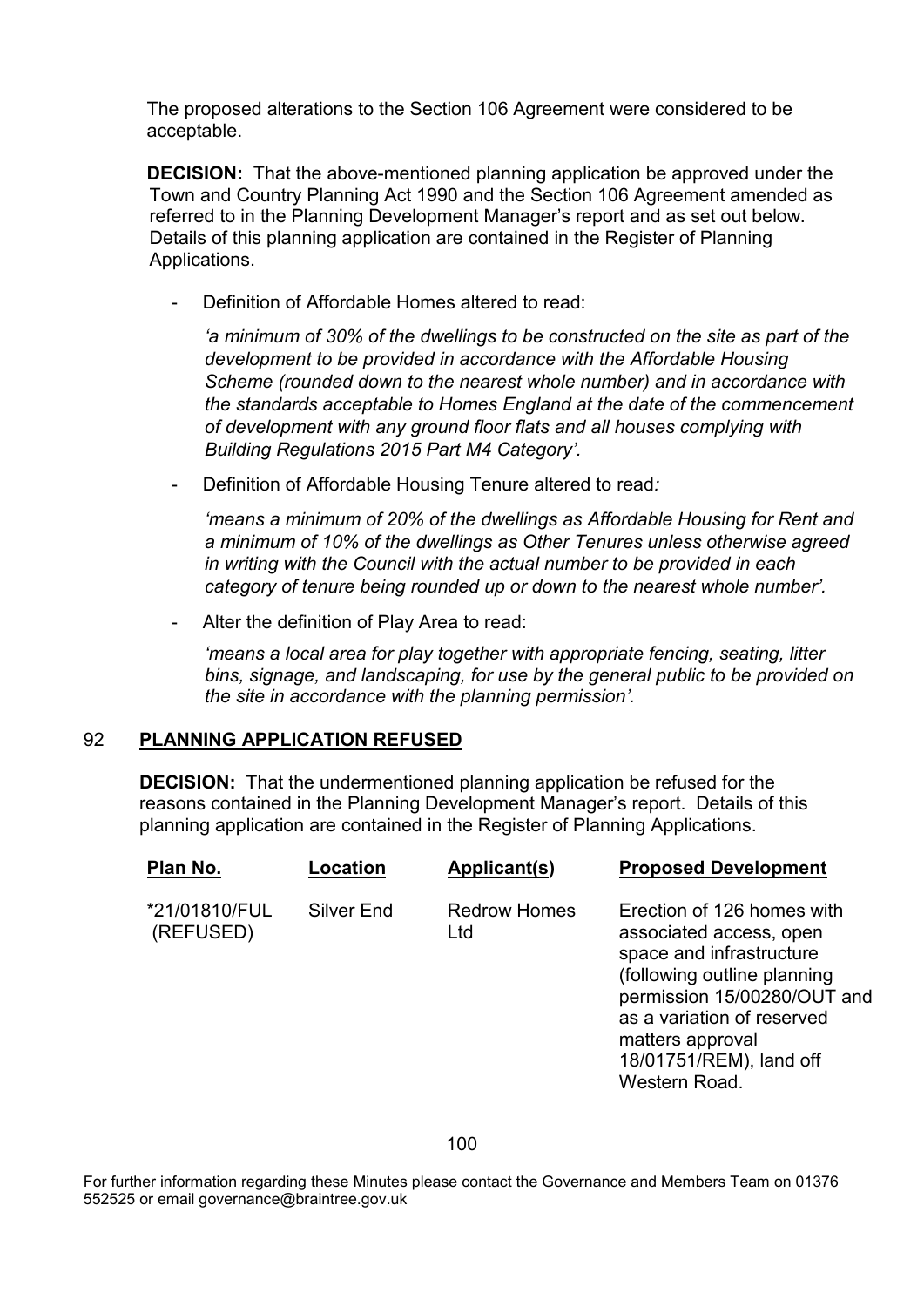The proposed alterations to the Section 106 Agreement were considered to be acceptable.

**DECISION:** That the above-mentioned planning application be approved under the Town and Country Planning Act 1990 and the Section 106 Agreement amended as referred to in the Planning Development Manager's report and as set out below. Details of this planning application are contained in the Register of Planning Applications.

Definition of Affordable Homes altered to read:

*'a minimum of 30% of the dwellings to be constructed on the site as part of the development to be provided in accordance with the Affordable Housing Scheme (rounded down to the nearest whole number) and in accordance with the standards acceptable to Homes England at the date of the commencement of development with any ground floor flats and all houses complying with Building Regulations 2015 Part M4 Category'.*

- Definition of Affordable Housing Tenure altered to read*:*

*'means a minimum of 20% of the dwellings as Affordable Housing for Rent and a minimum of 10% of the dwellings as Other Tenures unless otherwise agreed in writing with the Council with the actual number to be provided in each category of tenure being rounded up or down to the nearest whole number'.* 

Alter the definition of Play Area to read:

*'means a local area for play together with appropriate fencing, seating, litter bins, signage, and landscaping, for use by the general public to be provided on the site in accordance with the planning permission'.*

# 92 **PLANNING APPLICATION REFUSED**

**DECISION:** That the undermentioned planning application be refused for the reasons contained in the Planning Development Manager's report. Details of this planning application are contained in the Register of Planning Applications.

| Plan No.                   | Location   | Applicant(s)               | <b>Proposed Development</b>                                                                                                                                                                                                                   |
|----------------------------|------------|----------------------------|-----------------------------------------------------------------------------------------------------------------------------------------------------------------------------------------------------------------------------------------------|
| *21/01810/FUL<br>(REFUSED) | Silver End | <b>Redrow Homes</b><br>Ltd | Erection of 126 homes with<br>associated access, open<br>space and infrastructure<br>(following outline planning<br>permission 15/00280/OUT and<br>as a variation of reserved<br>matters approval<br>18/01751/REM), land off<br>Western Road. |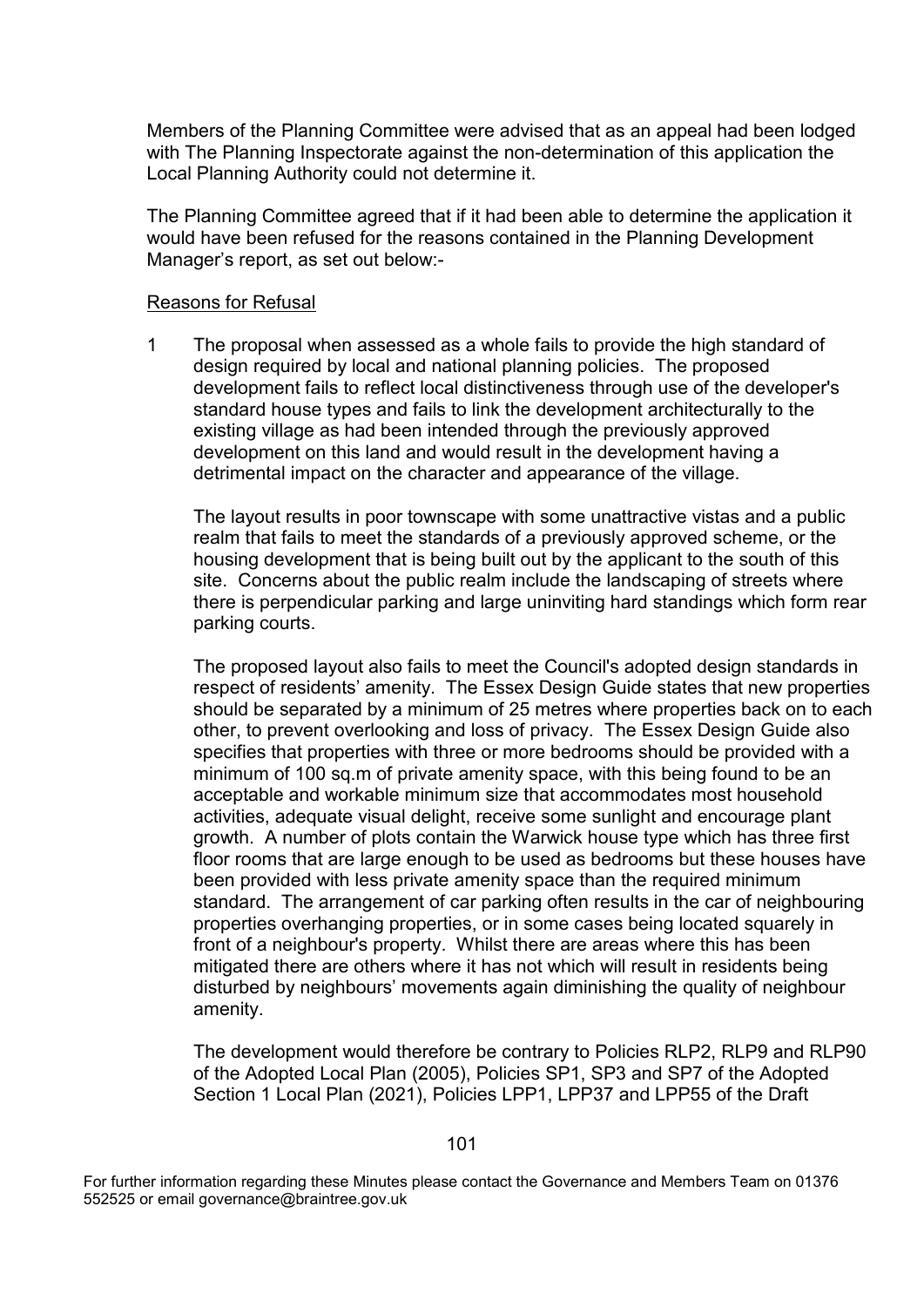Members of the Planning Committee were advised that as an appeal had been lodged with The Planning Inspectorate against the non-determination of this application the Local Planning Authority could not determine it.

The Planning Committee agreed that if it had been able to determine the application it would have been refused for the reasons contained in the Planning Development Manager's report, as set out below:-

#### Reasons for Refusal

1 The proposal when assessed as a whole fails to provide the high standard of design required by local and national planning policies. The proposed development fails to reflect local distinctiveness through use of the developer's standard house types and fails to link the development architecturally to the existing village as had been intended through the previously approved development on this land and would result in the development having a detrimental impact on the character and appearance of the village.

The layout results in poor townscape with some unattractive vistas and a public realm that fails to meet the standards of a previously approved scheme, or the housing development that is being built out by the applicant to the south of this site. Concerns about the public realm include the landscaping of streets where there is perpendicular parking and large uninviting hard standings which form rear parking courts.

The proposed layout also fails to meet the Council's adopted design standards in respect of residents' amenity. The Essex Design Guide states that new properties should be separated by a minimum of 25 metres where properties back on to each other, to prevent overlooking and loss of privacy. The Essex Design Guide also specifies that properties with three or more bedrooms should be provided with a minimum of 100 sq.m of private amenity space, with this being found to be an acceptable and workable minimum size that accommodates most household activities, adequate visual delight, receive some sunlight and encourage plant growth. A number of plots contain the Warwick house type which has three first floor rooms that are large enough to be used as bedrooms but these houses have been provided with less private amenity space than the required minimum standard. The arrangement of car parking often results in the car of neighbouring properties overhanging properties, or in some cases being located squarely in front of a neighbour's property. Whilst there are areas where this has been mitigated there are others where it has not which will result in residents being disturbed by neighbours' movements again diminishing the quality of neighbour amenity.

The development would therefore be contrary to Policies RLP2, RLP9 and RLP90 of the Adopted Local Plan (2005), Policies SP1, SP3 and SP7 of the Adopted Section 1 Local Plan (2021), Policies LPP1, LPP37 and LPP55 of the Draft

For further information regarding these Minutes please contact the Governance and Members Team on 01376 552525 or email governance@braintree.gov.uk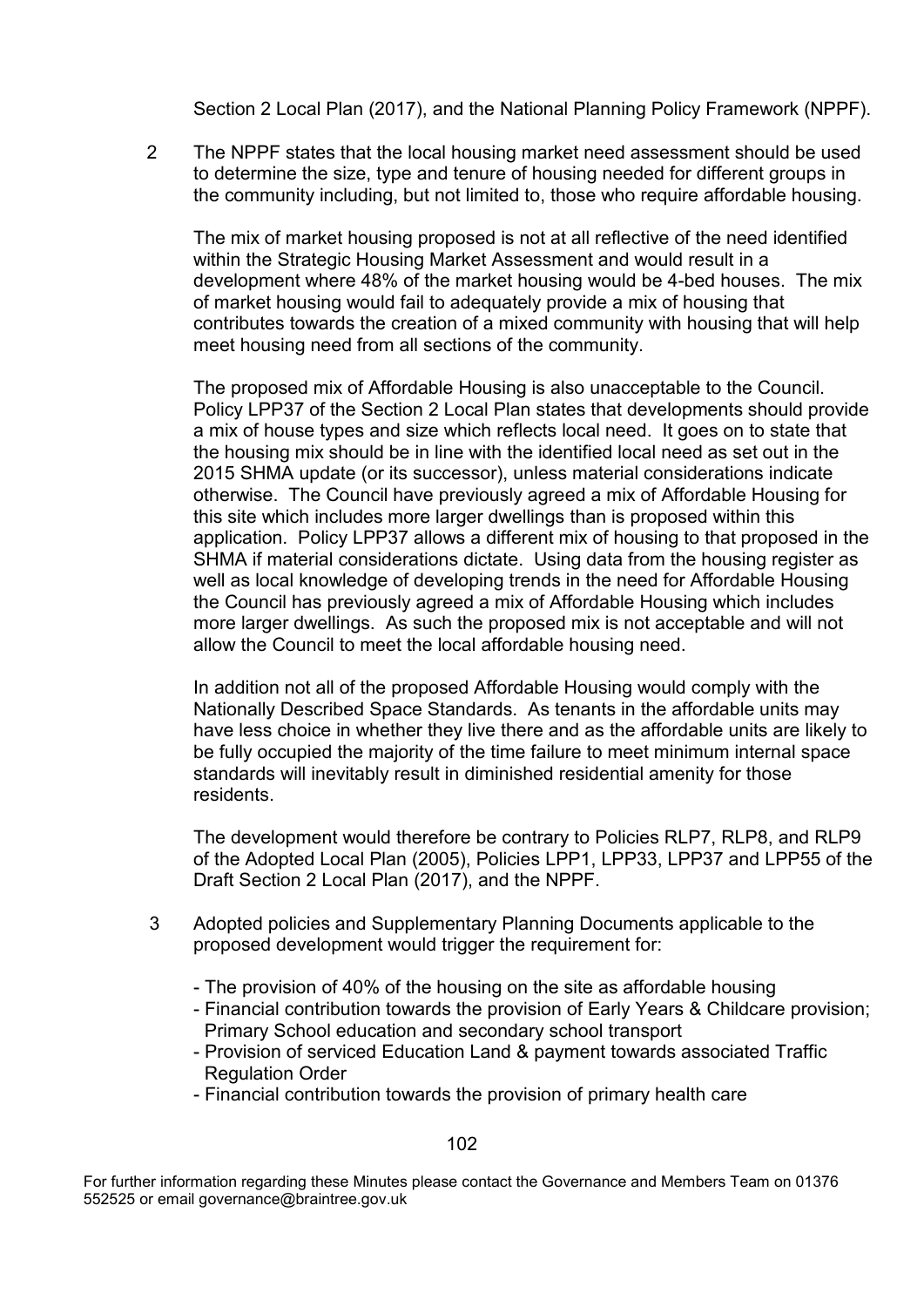Section 2 Local Plan (2017), and the National Planning Policy Framework (NPPF).

2 The NPPF states that the local housing market need assessment should be used to determine the size, type and tenure of housing needed for different groups in the community including, but not limited to, those who require affordable housing.

The mix of market housing proposed is not at all reflective of the need identified within the Strategic Housing Market Assessment and would result in a development where 48% of the market housing would be 4-bed houses. The mix of market housing would fail to adequately provide a mix of housing that contributes towards the creation of a mixed community with housing that will help meet housing need from all sections of the community.

The proposed mix of Affordable Housing is also unacceptable to the Council. Policy LPP37 of the Section 2 Local Plan states that developments should provide a mix of house types and size which reflects local need. It goes on to state that the housing mix should be in line with the identified local need as set out in the 2015 SHMA update (or its successor), unless material considerations indicate otherwise. The Council have previously agreed a mix of Affordable Housing for this site which includes more larger dwellings than is proposed within this application. Policy LPP37 allows a different mix of housing to that proposed in the SHMA if material considerations dictate. Using data from the housing register as well as local knowledge of developing trends in the need for Affordable Housing the Council has previously agreed a mix of Affordable Housing which includes more larger dwellings. As such the proposed mix is not acceptable and will not allow the Council to meet the local affordable housing need.

In addition not all of the proposed Affordable Housing would comply with the Nationally Described Space Standards. As tenants in the affordable units may have less choice in whether they live there and as the affordable units are likely to be fully occupied the majority of the time failure to meet minimum internal space standards will inevitably result in diminished residential amenity for those residents.

The development would therefore be contrary to Policies RLP7, RLP8, and RLP9 of the Adopted Local Plan (2005), Policies LPP1, LPP33, LPP37 and LPP55 of the Draft Section 2 Local Plan (2017), and the NPPF.

- 3 Adopted policies and Supplementary Planning Documents applicable to the proposed development would trigger the requirement for:
	- The provision of 40% of the housing on the site as affordable housing
	- Financial contribution towards the provision of Early Years & Childcare provision; Primary School education and secondary school transport
	- Provision of serviced Education Land & payment towards associated Traffic Regulation Order
	- Financial contribution towards the provision of primary health care

For further information regarding these Minutes please contact the Governance and Members Team on 01376 552525 or email governance@braintree.gov.uk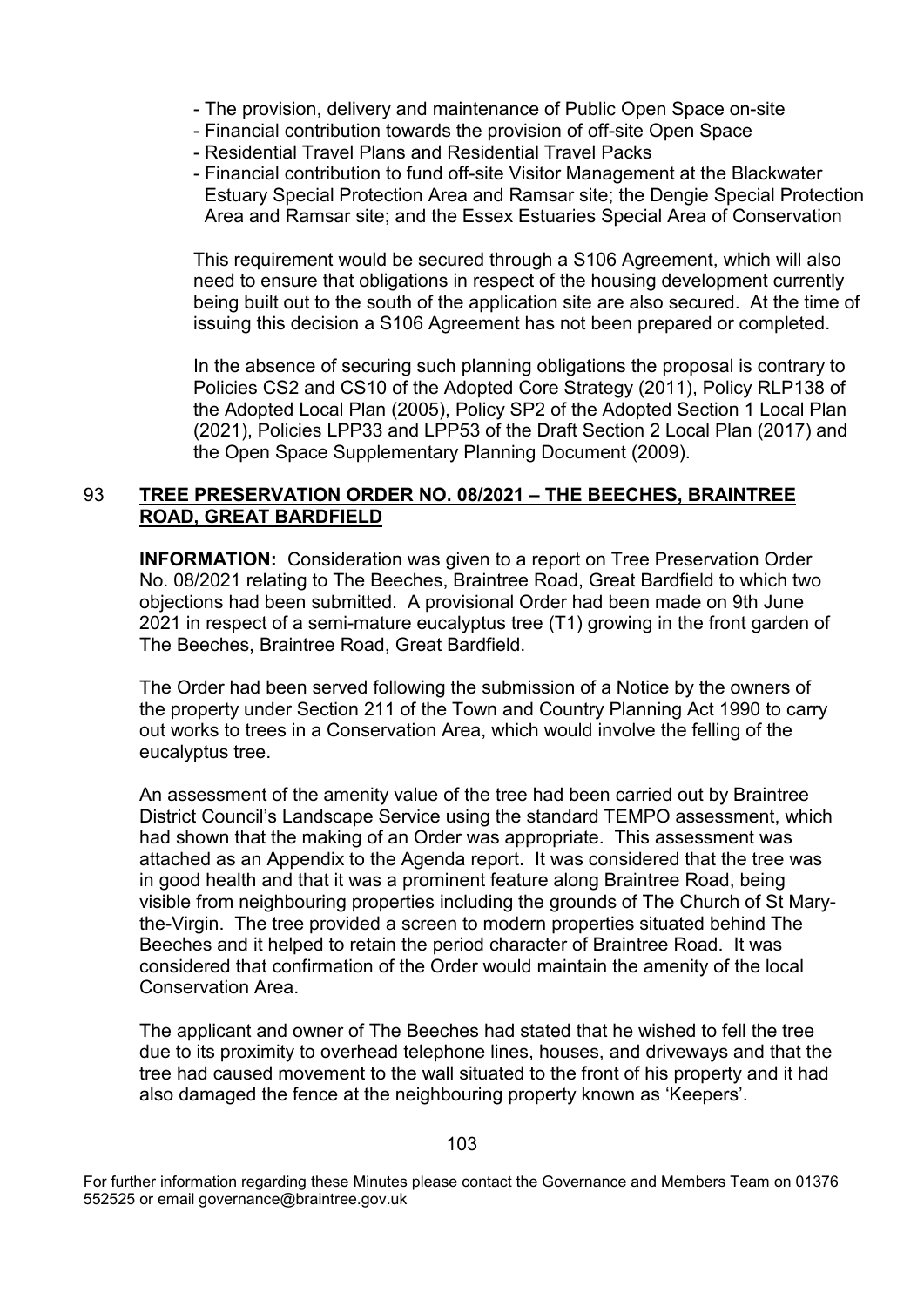- The provision, delivery and maintenance of Public Open Space on-site
- Financial contribution towards the provision of off-site Open Space
- Residential Travel Plans and Residential Travel Packs
- Financial contribution to fund off-site Visitor Management at the Blackwater Estuary Special Protection Area and Ramsar site; the Dengie Special Protection Area and Ramsar site; and the Essex Estuaries Special Area of Conservation

This requirement would be secured through a S106 Agreement, which will also need to ensure that obligations in respect of the housing development currently being built out to the south of the application site are also secured. At the time of issuing this decision a S106 Agreement has not been prepared or completed.

In the absence of securing such planning obligations the proposal is contrary to Policies CS2 and CS10 of the Adopted Core Strategy (2011), Policy RLP138 of the Adopted Local Plan (2005), Policy SP2 of the Adopted Section 1 Local Plan (2021), Policies LPP33 and LPP53 of the Draft Section 2 Local Plan (2017) and the Open Space Supplementary Planning Document (2009).

# 93 **TREE PRESERVATION ORDER NO. 08/2021 – THE BEECHES, BRAINTREE ROAD, GREAT BARDFIELD**

**INFORMATION:** Consideration was given to a report on Tree Preservation Order No. 08/2021 relating to The Beeches, Braintree Road, Great Bardfield to which two objections had been submitted. A provisional Order had been made on 9th June 2021 in respect of a semi-mature eucalyptus tree (T1) growing in the front garden of The Beeches, Braintree Road, Great Bardfield.

The Order had been served following the submission of a Notice by the owners of the property under Section 211 of the Town and Country Planning Act 1990 to carry out works to trees in a Conservation Area, which would involve the felling of the eucalyptus tree.

An assessment of the amenity value of the tree had been carried out by Braintree District Council's Landscape Service using the standard TEMPO assessment, which had shown that the making of an Order was appropriate. This assessment was attached as an Appendix to the Agenda report. It was considered that the tree was in good health and that it was a prominent feature along Braintree Road, being visible from neighbouring properties including the grounds of The Church of St Marythe-Virgin. The tree provided a screen to modern properties situated behind The Beeches and it helped to retain the period character of Braintree Road. It was considered that confirmation of the Order would maintain the amenity of the local Conservation Area.

The applicant and owner of The Beeches had stated that he wished to fell the tree due to its proximity to overhead telephone lines, houses, and driveways and that the tree had caused movement to the wall situated to the front of his property and it had also damaged the fence at the neighbouring property known as 'Keepers'.

For further information regarding these Minutes please contact the Governance and Members Team on 01376 552525 or email governance@braintree.gov.uk